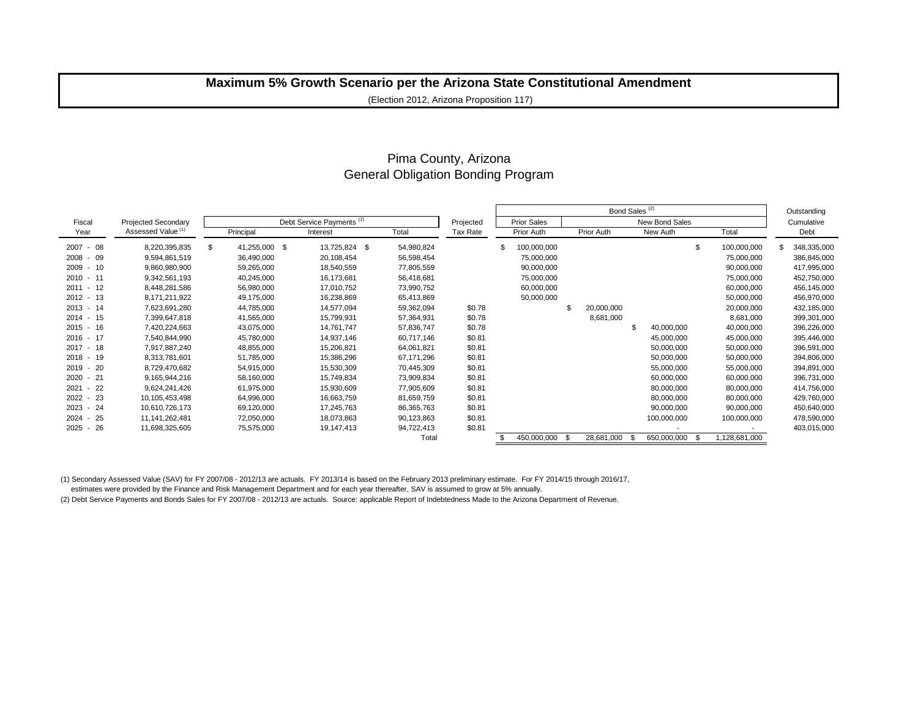# **Maximum 5% Growth Scenario per the Arizona State Constitutional Amendment**

(Election 2012, Arizona Proposition 117)

## Pima County, Arizona General Obligation Bonding Program

|                 |                               |           |               |                                                  |                    |            |          | Bond Sales <sup>(2)</sup> |                |            |  |             |       |               |  | Outstanding |
|-----------------|-------------------------------|-----------|---------------|--------------------------------------------------|--------------------|------------|----------|---------------------------|----------------|------------|--|-------------|-------|---------------|--|-------------|
| Fiscal          | <b>Projected Secondary</b>    |           |               | Projected                                        | <b>Prior Sales</b> |            |          |                           | New Bond Sales |            |  | Cumulative  |       |               |  |             |
| Year            | Assessed Value <sup>(1)</sup> | Principal |               | Debt Service Payments <sup>(2)</sup><br>Interest |                    | Total      | Tax Rate | Prior Auth                |                | Prior Auth |  | New Auth    | Total | Debt          |  |             |
| $2007 - 08$     | 8,220,395,835                 | \$        | 41,255,000 \$ |                                                  | 13,725,824 \$      | 54,980,824 |          | \$<br>100,000,000         |                |            |  |             | \$    | 100,000,000   |  | 348,335,000 |
| 09<br>2008 -    | 9,594,861,519                 |           | 36,490,000    |                                                  | 20,108,454         | 56,598,454 |          | 75,000,000                |                |            |  |             |       | 75,000,000    |  | 386,845,000 |
| 2009 -<br>10    | 9,860,980,900                 |           | 59,265,000    |                                                  | 18,540,559         | 77,805,559 |          | 90,000,000                |                |            |  |             |       | 90,000,000    |  | 417,995,000 |
| $2010 - 11$     | 9,342,561,193                 |           | 40,245,000    |                                                  | 16,173,681         | 56,418,681 |          | 75,000,000                |                |            |  |             |       | 75,000,000    |  | 452,750,000 |
| $2011 - 12$     | 8,448,281,586                 |           | 56,980,000    |                                                  | 17,010,752         | 73,990,752 |          | 60,000,000                |                |            |  |             |       | 60,000,000    |  | 456,145,000 |
| 13<br>$2012 -$  | 8,171,211,922                 |           | 49,175,000    |                                                  | 16,238,869         | 65,413,869 |          | 50,000,000                |                |            |  |             |       | 50,000,000    |  | 456,970,000 |
| $2013 - 14$     | 7,623,691,280                 |           | 44,785,000    |                                                  | 14,577,094         | 59,362,094 | \$0.78   |                           |                | 20,000,000 |  |             |       | 20,000,000    |  | 432,185,000 |
| $2014 -$<br>15  | 7,399,647,818                 |           | 41,565,000    |                                                  | 15,799,931         | 57,364,931 | \$0.78   |                           |                | 8,681,000  |  |             |       | 8,681,000     |  | 399,301,000 |
| $2015 - 16$     | 7,420,224,663                 |           | 43,075,000    |                                                  | 14,761,747         | 57,836,747 | \$0.78   |                           |                |            |  | 40,000,000  |       | 40,000,000    |  | 396,226,000 |
| 2016 - 17       | 7,540,844,990                 |           | 45,780,000    |                                                  | 14,937,146         | 60,717,146 | \$0.81   |                           |                |            |  | 45,000,000  |       | 45,000,000    |  | 395,446,000 |
| $2017 -$<br>-18 | 7,917,887,240                 |           | 48,855,000    |                                                  | 15,206,821         | 64,061,821 | \$0.81   |                           |                |            |  | 50,000,000  |       | 50,000,000    |  | 396,591,000 |
| $2018 -$<br>19  | 8,313,781,601                 |           | 51,785,000    |                                                  | 15,386,296         | 67,171,296 | \$0.81   |                           |                |            |  | 50,000,000  |       | 50,000,000    |  | 394,806,000 |
| 20<br>$2019 -$  | 8,729,470,682                 |           | 54,915,000    |                                                  | 15,530,309         | 70,445,309 | \$0.81   |                           |                |            |  | 55,000,000  |       | 55,000,000    |  | 394,891,000 |
| 21<br>$2020 -$  | 9,165,944,216                 |           | 58,160,000    |                                                  | 15,749,834         | 73,909,834 | \$0.81   |                           |                |            |  | 60,000,000  |       | 60,000,000    |  | 396,731,000 |
| 22<br>2021      | 9,624,241,426                 |           | 61,975,000    |                                                  | 15,930,609         | 77,905,609 | \$0.81   |                           |                |            |  | 80,000,000  |       | 80,000,000    |  | 414,756,000 |
| 23<br>$2022 -$  | 10,105,453,498                |           | 64,996,000    |                                                  | 16,663,759         | 81,659,759 | \$0.81   |                           |                |            |  | 80,000,000  |       | 80,000,000    |  | 429,760,000 |
| 24<br>$2023 -$  | 10,610,726,173                |           | 69,120,000    |                                                  | 17,245,763         | 86,365,763 | \$0.81   |                           |                |            |  | 90,000,000  |       | 90,000,000    |  | 450,640,000 |
| 25<br>$2024 -$  | 11.141.262.481                |           | 72,050,000    |                                                  | 18,073,863         | 90,123,863 | \$0.81   |                           |                |            |  | 100,000,000 |       | 100,000,000   |  | 478,590,000 |
| $2025 - 26$     | 11,698,325,605                |           | 75,575,000    |                                                  | 19,147,413         | 94,722,413 | \$0.81   |                           |                |            |  |             |       |               |  | 403,015,000 |
|                 |                               |           |               |                                                  |                    | Total      |          | 450,000,000               | -9             | 28,681,000 |  | 650,000,000 | - \$  | 1,128,681,000 |  |             |

(1) Secondary Assessed Value (SAV) for FY 2007/08 - 2012/13 are actuals. FY 2013/14 is based on the February 2013 preliminary estimate. For FY 2014/15 through 2016/17,

estimates were provided by the Finance and Risk Management Department and for each year thereafter, SAV is assumed to grow at 5% annually.

(2) Debt Service Payments and Bonds Sales for FY 2007/08 - 2012/13 are actuals. Source: applicable Report of Indebtedness Made to the Arizona Department of Revenue.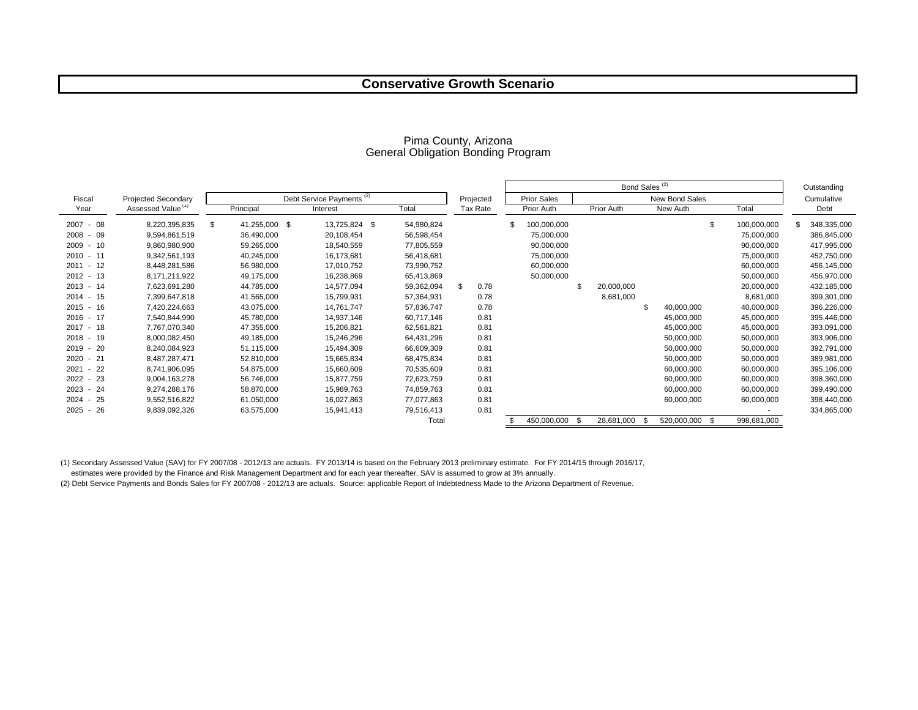## **Conservative Growth Scenario**

|                 |                               |                                      |               |            |                    |       |           | Bond Sales <sup>(2)</sup> |                    |    |            |  |                |    |             | Outstanding |             |
|-----------------|-------------------------------|--------------------------------------|---------------|------------|--------------------|-------|-----------|---------------------------|--------------------|----|------------|--|----------------|----|-------------|-------------|-------------|
| Fiscal          | <b>Projected Secondary</b>    | Debt Service Payments <sup>(2)</sup> |               |            |                    |       | Projected |                           | <b>Prior Sales</b> |    |            |  | New Bond Sales |    |             |             | Cumulative  |
| Year            | Assessed Value <sup>(1)</sup> |                                      | Principal     | Interest   | Total              |       | Tax Rate  |                           | Prior Auth         |    | Prior Auth |  | New Auth       |    | Total       |             | Debt        |
| 2007<br>08      | 8,220,395,835                 | Ŝ.                                   | 41,255,000 \$ | 13,725,824 | 54,980,824<br>- \$ |       |           |                           | 100,000,000        |    |            |  |                | \$ | 100,000,000 |             | 348,335,000 |
| 09<br>2008      | 9,594,861,519                 |                                      | 36,490,000    | 20,108,454 | 56,598,454         |       |           |                           | 75,000,000         |    |            |  |                |    | 75,000,000  |             | 386,845,000 |
| 10<br>$2009 -$  | 9,860,980,900                 |                                      | 59,265,000    | 18,540,559 | 77,805,559         |       |           |                           | 90,000,000         |    |            |  |                |    | 90,000,000  |             | 417,995,000 |
| $2010 - 11$     | 9,342,561,193                 |                                      | 40,245,000    | 16,173,681 | 56,418,681         |       |           |                           | 75,000,000         |    |            |  |                |    | 75,000,000  |             | 452,750,000 |
| -12<br>$2011 -$ | 8,448,281,586                 |                                      | 56,980,000    | 17,010,752 | 73,990,752         |       |           |                           | 60,000,000         |    |            |  |                |    | 60,000,000  |             | 456,145,000 |
| $2012 - 13$     | 8,171,211,922                 |                                      | 49,175,000    | 16,238,869 | 65,413,869         |       |           |                           | 50,000,000         |    |            |  |                |    | 50,000,000  |             | 456,970,000 |
| $2013 - 14$     | 7,623,691,280                 |                                      | 44,785,000    | 14,577,094 | 59,362,094         |       | 0.78      |                           |                    |    | 20,000,000 |  |                |    | 20,000,000  |             | 432,185,000 |
| $2014 - 15$     | 7,399,647,818                 |                                      | 41,565,000    | 15,799,931 | 57,364,931         |       | 0.78      |                           |                    |    | 8,681,000  |  |                |    | 8,681,000   |             | 399,301,000 |
| 16<br>$2015 -$  | 7,420,224,663                 |                                      | 43,075,000    | 14,761,747 | 57,836,747         |       | 0.78      |                           |                    |    |            |  | 40,000,000     |    | 40,000,000  |             | 396,226,000 |
| $2016 - 17$     | 7,540,844,990                 |                                      | 45,780,000    | 14,937,146 | 60,717,146         |       | 0.81      |                           |                    |    |            |  | 45,000,000     |    | 45,000,000  |             | 395,446,000 |
| $2017 -$<br>18  | 7,767,070,340                 |                                      | 47,355,000    | 15,206,821 | 62,561,821         |       | 0.81      |                           |                    |    |            |  | 45,000,000     |    | 45,000,000  |             | 393,091,000 |
| 19<br>2018      | 8,000,082,450                 |                                      | 49,185,000    | 15,246,296 | 64,431,296         |       | 0.81      |                           |                    |    |            |  | 50,000,000     |    | 50,000,000  |             | 393,906,000 |
| 20<br>$2019 -$  | 8,240,084,923                 |                                      | 51,115,000    | 15,494,309 | 66,609,309         |       | 0.81      |                           |                    |    |            |  | 50,000,000     |    | 50,000,000  |             | 392,791,000 |
| 21<br>2020      | 8,487,287,471                 |                                      | 52,810,000    | 15,665,834 | 68,475,834         |       | 0.81      |                           |                    |    |            |  | 50,000,000     |    | 50,000,000  |             | 389,981,000 |
| 22<br>2021      | 8,741,906,095                 |                                      | 54,875,000    | 15,660,609 | 70,535,609         |       | 0.81      |                           |                    |    |            |  | 60,000,000     |    | 60,000,000  |             | 395,106,000 |
| 23<br>2022      | 9,004,163,278                 |                                      | 56,746,000    | 15,877,759 | 72,623,759         |       | 0.81      |                           |                    |    |            |  | 60,000,000     |    | 60,000,000  |             | 398,360,000 |
| 24<br>2023      | 9,274,288,176                 |                                      | 58,870,000    | 15,989,763 | 74,859,763         |       | 0.81      |                           |                    |    |            |  | 60,000,000     |    | 60,000,000  |             | 399,490,000 |
| 25<br>2024      | 9,552,516,822                 |                                      | 61,050,000    | 16,027,863 | 77,077,863         |       | 0.81      |                           |                    |    |            |  | 60,000,000     |    | 60,000,000  |             | 398,440,000 |
| -26<br>$2025 -$ | 9,839,092,326                 |                                      | 63,575,000    | 15,941,413 | 79,516,413         |       | 0.81      |                           |                    |    |            |  |                |    |             |             | 334,865,000 |
|                 |                               |                                      |               |            |                    | Total |           |                           | 450,000,000        | .Գ | 28,681,000 |  | 520,000,000    | .ፍ | 998,681,000 |             |             |

#### Pima County, Arizona General Obligation Bonding Program

(1) Secondary Assessed Value (SAV) for FY 2007/08 - 2012/13 are actuals. FY 2013/14 is based on the February 2013 preliminary estimate. For FY 2014/15 through 2016/17,

estimates were provided by the Finance and Risk Management Department and for each year thereafter, SAV is assumed to grow at 3% annually.

(2) Debt Service Payments and Bonds Sales for FY 2007/08 - 2012/13 are actuals. Source: applicable Report of Indebtedness Made to the Arizona Department of Revenue.